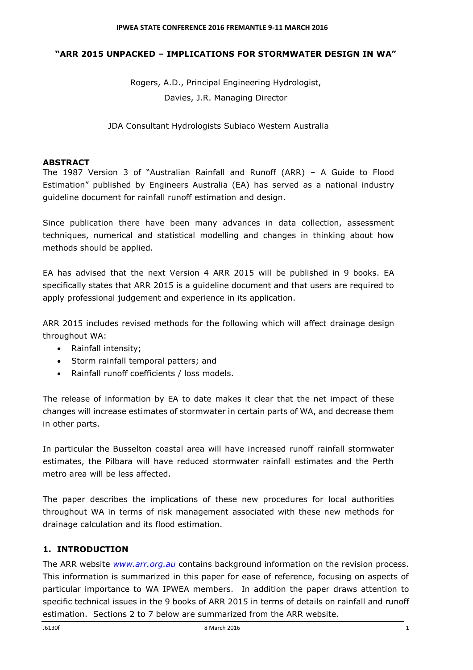#### **"ARR 2015 UNPACKED – IMPLICATIONS FOR STORMWATER DESIGN IN WA"**

Rogers, A.D., Principal Engineering Hydrologist, Davies, J.R. Managing Director

JDA Consultant Hydrologists Subiaco Western Australia

### **ABSTRACT**

The 1987 Version 3 of "Australian Rainfall and Runoff (ARR) – A Guide to Flood Estimation" published by Engineers Australia (EA) has served as a national industry guideline document for rainfall runoff estimation and design.

Since publication there have been many advances in data collection, assessment techniques, numerical and statistical modelling and changes in thinking about how methods should be applied.

EA has advised that the next Version 4 ARR 2015 will be published in 9 books. EA specifically states that ARR 2015 is a guideline document and that users are required to apply professional judgement and experience in its application.

ARR 2015 includes revised methods for the following which will affect drainage design throughout WA:

- Rainfall intensity;
- Storm rainfall temporal patters; and
- Rainfall runoff coefficients / loss models.

The release of information by EA to date makes it clear that the net impact of these changes will increase estimates of stormwater in certain parts of WA, and decrease them in other parts.

In particular the Busselton coastal area will have increased runoff rainfall stormwater estimates, the Pilbara will have reduced stormwater rainfall estimates and the Perth metro area will be less affected.

The paper describes the implications of these new procedures for local authorities throughout WA in terms of risk management associated with these new methods for drainage calculation and its flood estimation.

# **1. INTRODUCTION**

The ARR website *[www.arr.org.au](http://www.arr.org.au/)* contains background information on the revision process. This information is summarized in this paper for ease of reference, focusing on aspects of particular importance to WA IPWEA members. In addition the paper draws attention to specific technical issues in the 9 books of ARR 2015 in terms of details on rainfall and runoff estimation. Sections 2 to 7 below are summarized from the ARR website.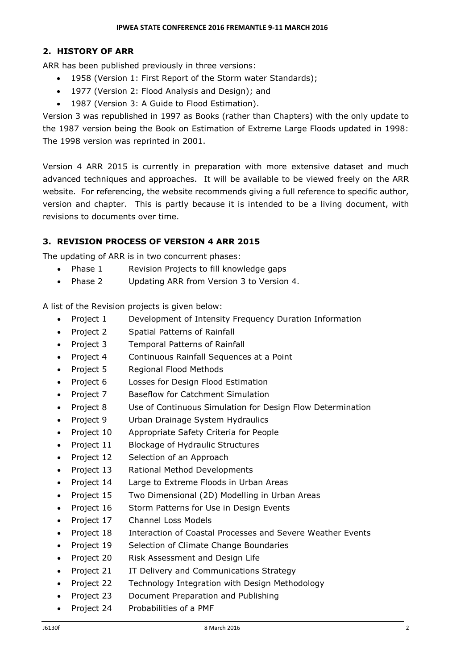#### **2. HISTORY OF ARR**

ARR has been published previously in three versions:

- 1958 (Version 1: First Report of the Storm water Standards);
- 1977 (Version 2: Flood Analysis and Design); and
- 1987 (Version 3: A Guide to Flood Estimation).

Version 3 was republished in 1997 as Books (rather than Chapters) with the only update to the 1987 version being the Book on Estimation of Extreme Large Floods updated in 1998: The 1998 version was reprinted in 2001.

Version 4 ARR 2015 is currently in preparation with more extensive dataset and much advanced techniques and approaches. It will be available to be viewed freely on the ARR website. For referencing, the website recommends giving a full reference to specific author, version and chapter. This is partly because it is intended to be a living document, with revisions to documents over time.

# **3. REVISION PROCESS OF VERSION 4 ARR 2015**

The updating of ARR is in two concurrent phases:

- Phase 1 Revision Projects to fill knowledge gaps
- Phase 2 Updating ARR from Version 3 to Version 4.

A list of the Revision projects is given below:

- Project 1 Development of Intensity Frequency Duration Information
- Project 2 Spatial Patterns of Rainfall
- Project 3 Temporal Patterns of Rainfall
- Project 4 Continuous Rainfall Sequences at a Point
- Project 5 Regional Flood Methods
- Project 6 Losses for Design Flood Estimation
- Project 7 Baseflow for Catchment Simulation
- Project 8 Use of Continuous Simulation for Design Flow Determination
- Project 9 Urban Drainage System Hydraulics
- Project 10 Appropriate Safety Criteria for People
- Project 11 Blockage of Hydraulic Structures
- Project 12 Selection of an Approach
- Project 13 Rational Method Developments
- Project 14 Large to Extreme Floods in Urban Areas
- Project 15 Two Dimensional (2D) Modelling in Urban Areas
- Project 16 Storm Patterns for Use in Design Events
- Project 17 Channel Loss Models
- Project 18 Interaction of Coastal Processes and Severe Weather Events
- Project 19 Selection of Climate Change Boundaries
- Project 20 Risk Assessment and Design Life
- Project 21 IT Delivery and Communications Strategy
- Project 22 Technology Integration with Design Methodology
- Project 23 Document Preparation and Publishing
- Project 24 Probabilities of a PMF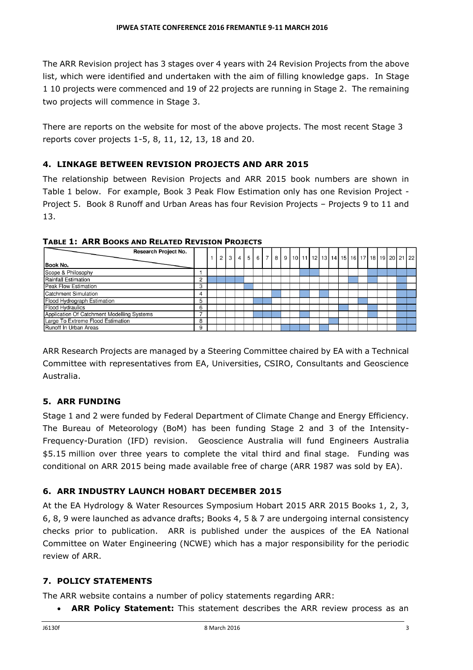The ARR Revision project has 3 stages over 4 years with 24 Revision Projects from the above list, which were identified and undertaken with the aim of filling knowledge gaps. In Stage 1 10 projects were commenced and 19 of 22 projects are running in Stage 2. The remaining two projects will commence in Stage 3.

There are reports on the website for most of the above projects. The most recent Stage 3 reports cover projects 1-5, 8, 11, 12, 13, 18 and 20.

# **4. LINKAGE BETWEEN REVISION PROJECTS AND ARR 2015**

The relationship between Revision Projects and ARR 2015 book numbers are shown in Table 1 below. For example, Book 3 Peak Flow Estimation only has one Revision Project - Project 5. Book 8 Runoff and Urban Areas has four Revision Projects – Projects 9 to 11 and 13.

| Research Project No.                       |   |  |  |  |  |  |                                                                                                |  |  |  |  |  |
|--------------------------------------------|---|--|--|--|--|--|------------------------------------------------------------------------------------------------|--|--|--|--|--|
| Book No.                                   |   |  |  |  |  |  | 2   3   4   5   6   7   8   9   10   11   12   13   14   15   16   17   18   19   20   21   22 |  |  |  |  |  |
| Scope & Philosophy                         |   |  |  |  |  |  |                                                                                                |  |  |  |  |  |
| Rainfall Estimation                        | ◠ |  |  |  |  |  |                                                                                                |  |  |  |  |  |
| <b>Peak Flow Estimation</b>                | з |  |  |  |  |  |                                                                                                |  |  |  |  |  |
| Catchment Simulation                       |   |  |  |  |  |  |                                                                                                |  |  |  |  |  |
| Flood Hydrograph Estimation                |   |  |  |  |  |  |                                                                                                |  |  |  |  |  |
| <b>Flood Hydraulics</b>                    | 6 |  |  |  |  |  |                                                                                                |  |  |  |  |  |
| Application Of Catchment Modelling Systems |   |  |  |  |  |  |                                                                                                |  |  |  |  |  |
| Large To Extreme Flood Estimation          |   |  |  |  |  |  |                                                                                                |  |  |  |  |  |
| Runoff In Urban Areas                      | 9 |  |  |  |  |  |                                                                                                |  |  |  |  |  |

**TABLE 1: ARR BOOKS AND RELATED REVISION PROJECTS**

ARR Research Projects are managed by a Steering Committee chaired by EA with a Technical Committee with representatives from EA, Universities, CSIRO, Consultants and Geoscience Australia.

# **5. ARR FUNDING**

Stage 1 and 2 were funded by Federal Department of Climate Change and Energy Efficiency. The Bureau of Meteorology (BoM) has been funding Stage 2 and 3 of the Intensity-Frequency-Duration (IFD) revision. Geoscience Australia will fund Engineers Australia \$5.15 million over three years to complete the vital third and final stage. Funding was conditional on ARR 2015 being made available free of charge (ARR 1987 was sold by EA).

# **6. ARR INDUSTRY LAUNCH HOBART DECEMBER 2015**

At the EA Hydrology & Water Resources Symposium Hobart 2015 ARR 2015 Books 1, 2, 3, 6, 8, 9 were launched as advance drafts; Books 4, 5 & 7 are undergoing internal consistency checks prior to publication. ARR is published under the auspices of the EA National Committee on Water Engineering (NCWE) which has a major responsibility for the periodic review of ARR.

# **7. POLICY STATEMENTS**

The ARR website contains a number of policy statements regarding ARR:

**ARR Policy Statement:** This statement describes the ARR review process as an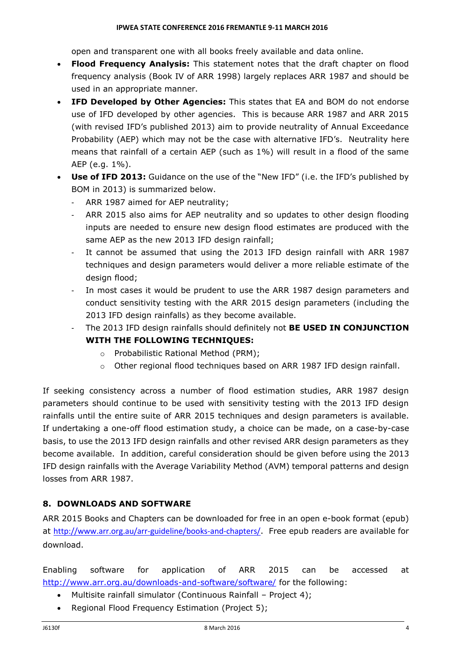open and transparent one with all books freely available and data online.

- **Flood Frequency Analysis:** This statement notes that the draft chapter on flood frequency analysis (Book IV of ARR 1998) largely replaces ARR 1987 and should be used in an appropriate manner.
- **IFD Developed by Other Agencies:** This states that EA and BOM do not endorse use of IFD developed by other agencies. This is because ARR 1987 and ARR 2015 (with revised IFD's published 2013) aim to provide neutrality of Annual Exceedance Probability (AEP) which may not be the case with alternative IFD's. Neutrality here means that rainfall of a certain AEP (such as 1%) will result in a flood of the same AEP (e.g. 1%).
- **Use of IFD 2013:** Guidance on the use of the "New IFD" (i.e. the IFD's published by BOM in 2013) is summarized below.
	- ARR 1987 aimed for AEP neutrality;
	- ARR 2015 also aims for AEP neutrality and so updates to other design flooding inputs are needed to ensure new design flood estimates are produced with the same AEP as the new 2013 IFD design rainfall;
	- It cannot be assumed that using the 2013 IFD design rainfall with ARR 1987 techniques and design parameters would deliver a more reliable estimate of the design flood;
	- In most cases it would be prudent to use the ARR 1987 design parameters and conduct sensitivity testing with the ARR 2015 design parameters (including the 2013 IFD design rainfalls) as they become available.
	- The 2013 IFD design rainfalls should definitely not **BE USED IN CONJUNCTION WITH THE FOLLOWING TECHNIQUES:**
		- o Probabilistic Rational Method (PRM);
		- $\circ$  Other regional flood techniques based on ARR 1987 IFD design rainfall.

If seeking consistency across a number of flood estimation studies, ARR 1987 design parameters should continue to be used with sensitivity testing with the 2013 IFD design rainfalls until the entire suite of ARR 2015 techniques and design parameters is available. If undertaking a one-off flood estimation study, a choice can be made, on a case-by-case basis, to use the 2013 IFD design rainfalls and other revised ARR design parameters as they become available. In addition, careful consideration should be given before using the 2013 IFD design rainfalls with the Average Variability Method (AVM) temporal patterns and design losses from ARR 1987.

# **8. DOWNLOADS AND SOFTWARE**

ARR 2015 Books and Chapters can be downloaded for free in an open e-book format (epub) at <http://www.arr.org.au/arr-guideline/books-and-chapters/>. Free epub readers are available for download.

Enabling software for application of ARR 2015 can be accessed at <http://www.arr.org.au/downloads-and-software/software/> for the following:

- Multisite rainfall simulator (Continuous Rainfall Project 4);
- Regional Flood Frequency Estimation (Project 5);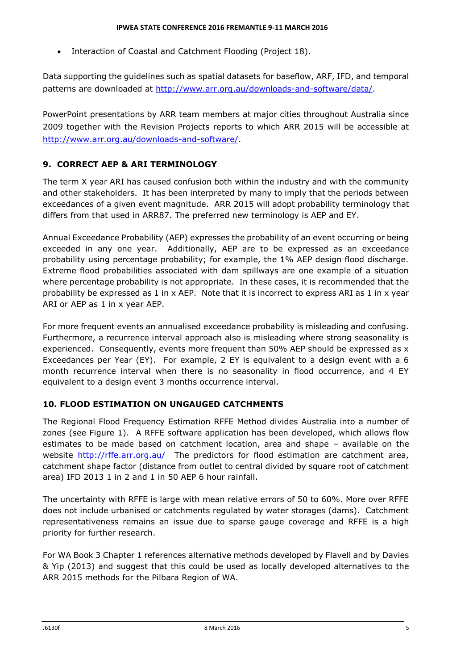• Interaction of Coastal and Catchment Flooding (Project 18).

Data supporting the guidelines such as spatial datasets for baseflow, ARF, IFD, and temporal patterns are downloaded at [http://www.arr.org.au/downloads-and-software/data/.](http://www.arr.org.au/downloads-and-software/data/)

PowerPoint presentations by ARR team members at major cities throughout Australia since 2009 together with the Revision Projects reports to which ARR 2015 will be accessible at [http://www.arr.org.au/downloads-and-software/.](http://www.arr.org.au/downloads-and-software/)

# **9. CORRECT AEP & ARI TERMINOLOGY**

The term X year ARI has caused confusion both within the industry and with the community and other stakeholders. It has been interpreted by many to imply that the periods between exceedances of a given event magnitude. ARR 2015 will adopt probability terminology that differs from that used in ARR87. The preferred new terminology is AEP and EY.

Annual Exceedance Probability (AEP) expresses the probability of an event occurring or being exceeded in any one year. Additionally, AEP are to be expressed as an exceedance probability using percentage probability; for example, the 1% AEP design flood discharge. Extreme flood probabilities associated with dam spillways are one example of a situation where percentage probability is not appropriate. In these cases, it is recommended that the probability be expressed as 1 in x AEP. Note that it is incorrect to express ARI as 1 in x year ARI or AEP as 1 in x year AEP.

For more frequent events an annualised exceedance probability is misleading and confusing. Furthermore, a recurrence interval approach also is misleading where strong seasonality is experienced. Consequently, events more frequent than 50% AEP should be expressed as x Exceedances per Year (EY). For example, 2 EY is equivalent to a design event with a 6 month recurrence interval when there is no seasonality in flood occurrence, and 4 EY equivalent to a design event 3 months occurrence interval.

# **10. FLOOD ESTIMATION ON UNGAUGED CATCHMENTS**

The Regional Flood Frequency Estimation RFFE Method divides Australia into a number of zones (see Figure 1). A RFFE software application has been developed, which allows flow estimates to be made based on catchment location, area and shape – available on the website <http://rffe.arr.org.au/>The predictors for flood estimation are catchment area, catchment shape factor (distance from outlet to central divided by square root of catchment area) IFD 2013 1 in 2 and 1 in 50 AEP 6 hour rainfall.

The uncertainty with RFFE is large with mean relative errors of 50 to 60%. More over RFFE does not include urbanised or catchments regulated by water storages (dams). Catchment representativeness remains an issue due to sparse gauge coverage and RFFE is a high priority for further research.

For WA Book 3 Chapter 1 references alternative methods developed by Flavell and by Davies & Yip (2013) and suggest that this could be used as locally developed alternatives to the ARR 2015 methods for the Pilbara Region of WA.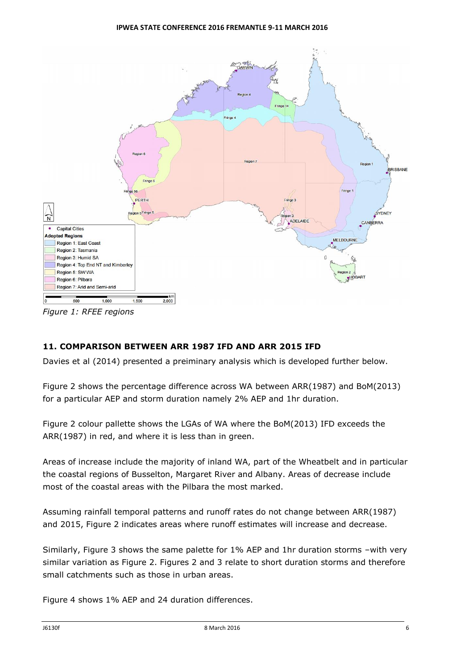

*Figure 1: RFEE regions*

# **11. COMPARISON BETWEEN ARR 1987 IFD AND ARR 2015 IFD**

Davies et al (2014) presented a preiminary analysis which is developed further below.

Figure 2 shows the percentage difference across WA between ARR(1987) and BoM(2013) for a particular AEP and storm duration namely 2% AEP and 1hr duration.

Figure 2 colour pallette shows the LGAs of WA where the BoM(2013) IFD exceeds the ARR(1987) in red, and where it is less than in green.

Areas of increase include the majority of inland WA, part of the Wheatbelt and in particular the coastal regions of Busselton, Margaret River and Albany. Areas of decrease include most of the coastal areas with the Pilbara the most marked.

Assuming rainfall temporal patterns and runoff rates do not change between ARR(1987) and 2015, Figure 2 indicates areas where runoff estimates will increase and decrease.

Similarly, Figure 3 shows the same palette for 1% AEP and 1hr duration storms –with very similar variation as Figure 2. Figures 2 and 3 relate to short duration storms and therefore small catchments such as those in urban areas.

Figure 4 shows 1% AEP and 24 duration differences.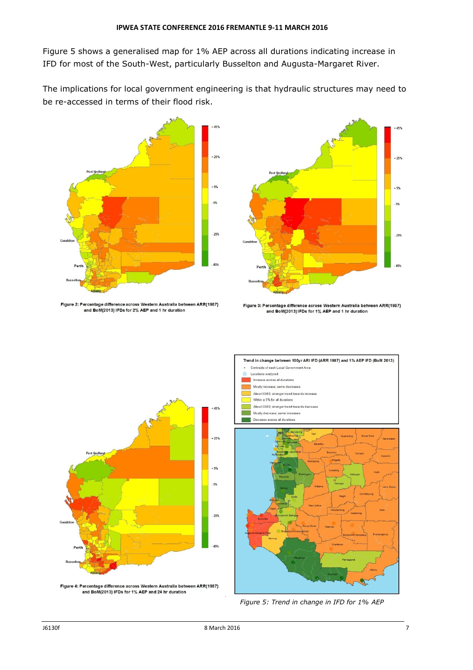Figure 5 shows a generalised map for 1% AEP across all durations indicating increase in IFD for most of the South-West, particularly Busselton and Augusta-Margaret River.

The implications for local government engineering is that hydraulic structures may need to be re-accessed in terms of their flood risk.



Figure 2: Percentage difference across Western Australia between ARR(1987) and BoM(2013) IFDs for 2% AEP and 1 hr duration



Figure 3: Percentage difference across Western Australia between ARR(1987) and BoM(2013) IFDs for 1% AEP and 1 hr duration



Figure 4: Percentage difference across Western Australia between ARR(1987) and BoM(2013) IFDs for 1% AEP and 24 hr duration



*Figure 5: Trend in change in IFD for 1% AEP*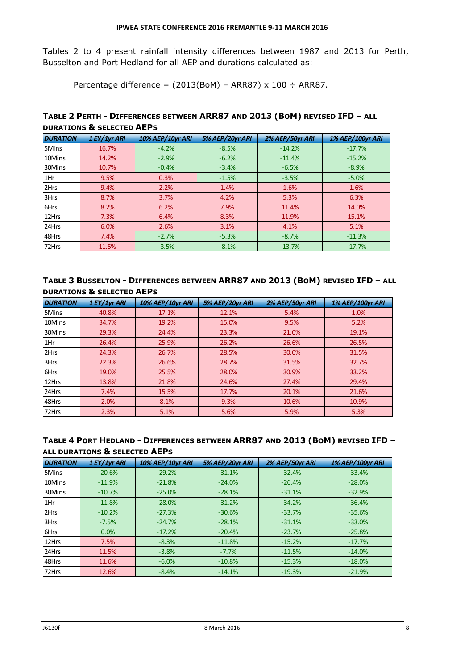Tables 2 to 4 present rainfall intensity differences between 1987 and 2013 for Perth, Busselton and Port Hedland for all AEP and durations calculated as:

Percentage difference =  $(2013(BoM) - ARR87) \times 100 \div ARR87$ .

# **TABLE 2 PERTH - DIFFERENCES BETWEEN ARR87 AND 2013 (BOM) REVISED IFD – ALL DURATIONS & SELECTED AEPS**

| <b>DURATION</b> | 1 EY/1yr ARI | <b>10% AEP/10yr ARI</b> | 5% AEP/20yr ARI | 2% AEP/50yr ARI | <b>1% AEP/100yr ARI</b> |
|-----------------|--------------|-------------------------|-----------------|-----------------|-------------------------|
| <b>5Mins</b>    | 16.7%        | $-4.2%$                 | $-8.5%$         | $-14.2%$        | $-17.7%$                |
| 10Mins          | 14.2%        | $-2.9%$                 | $-6.2%$         | $-11.4%$        | $-15.2%$                |
| 30Mins          | 10.7%        | $-0.4%$                 | $-3.4%$         | $-6.5%$         | $-8.9%$                 |
| $1$ Hr          | 9.5%         | 0.3%                    | $-1.5%$         | $-3.5%$         | $-5.0%$                 |
| 2Hrs            | 9.4%         | 2.2%                    | 1.4%            | 1.6%            | 1.6%                    |
| 3Hrs            | 8.7%         | 3.7%                    | 4.2%            | 5.3%            | 6.3%                    |
| <b>6Hrs</b>     | 8.2%         | 6.2%                    | 7.9%            | 11.4%           | 14.0%                   |
| 12Hrs           | 7.3%         | 6.4%                    | 8.3%            | 11.9%           | 15.1%                   |
| 24Hrs           | 6.0%         | 2.6%                    | 3.1%            | 4.1%            | 5.1%                    |
| 48Hrs           | 7.4%         | $-2.7%$                 | $-5.3%$         | $-8.7%$         | $-11.3%$                |
| 72Hrs           | 11.5%        | $-3.5%$                 | $-8.1%$         | $-13.7%$        | $-17.7%$                |

### **TABLE 3 BUSSELTON - DIFFERENCES BETWEEN ARR87 AND 2013 (BOM) REVISED IFD – ALL DURATIONS & SELECTED AEPS**

| <b>DURATION</b> | 1 EY/1yr ARI | <b>10% AEP/10yr ARI</b> | 5% AEP/20yr ARI | 2% AEP/50yr ARI | <b>1% AEP/100yr ARI</b> |
|-----------------|--------------|-------------------------|-----------------|-----------------|-------------------------|
| <b>5Mins</b>    | 40.8%        | 17.1%                   | 12.1%           | 5.4%            | 1.0%                    |
| 10Mins          | 34.7%        | 19.2%                   | 15.0%           | 9.5%            | 5.2%                    |
| 30Mins          | 29.3%        | 24.4%                   | 23.3%           | 21.0%           | 19.1%                   |
| 1Hr             | 26.4%        | 25.9%                   | 26.2%           | 26.6%           | 26.5%                   |
| 2Hrs            | 24.3%        | 26.7%                   | 28.5%           | 30.0%           | 31.5%                   |
| 3Hrs            | 22.3%        | 26.6%                   | 28.7%           | 31.5%           | 32.7%                   |
| 6Hrs            | 19.0%        | 25.5%                   | 28.0%           | 30.9%           | 33.2%                   |
| 12Hrs           | 13.8%        | 21.8%                   | 24.6%           | 27.4%           | 29.4%                   |
| 24Hrs           | 7.4%         | 15.5%                   | 17.7%           | 20.1%           | 21.6%                   |
| 48Hrs           | 2.0%         | 8.1%                    | 9.3%            | 10.6%           | 10.9%                   |
| 72Hrs           | 2.3%         | 5.1%                    | 5.6%            | 5.9%            | 5.3%                    |

#### **TABLE 4 PORT HEDLAND - DIFFERENCES BETWEEN ARR87 AND 2013 (BOM) REVISED IFD – ALL DURATIONS & SELECTED AEPS**

| <b>DURATION</b> | 1 EY/1yr ARI | <b>10% AEP/10yr ARI</b> | 5% AEP/20yr ARI | 2% AEP/50yr ARI | <b>1% AEP/100yr ARI</b> |
|-----------------|--------------|-------------------------|-----------------|-----------------|-------------------------|
| <b>5Mins</b>    | $-20.6%$     | $-29.2%$                | $-31.1%$        | $-32.4%$        | $-33.4%$                |
| 10Mins          | $-11.9%$     | $-21.8%$                | $-24.0%$        | $-26.4%$        | $-28.0%$                |
| 30Mins          | $-10.7%$     | $-25.0%$                | $-28.1%$        | $-31.1%$        | $-32.9%$                |
| 1Hr             | $-11.8%$     | $-28.0%$                | $-31.2%$        | $-34.2%$        | $-36.4%$                |
| 2Hrs            | $-10.2%$     | $-27.3%$                | $-30.6%$        | $-33.7%$        | $-35.6%$                |
| 3Hrs            | $-7.5%$      | $-24.7%$                | $-28.1%$        | $-31.1%$        | $-33.0%$                |
| <b>6Hrs</b>     | 0.0%         | $-17.2%$                | $-20.4%$        | $-23.7%$        | $-25.8%$                |
| 12Hrs           | 7.5%         | $-8.3%$                 | $-11.8%$        | $-15.2%$        | $-17.7%$                |
| 24Hrs           | 11.5%        | $-3.8%$                 | $-7.7%$         | $-11.5%$        | $-14.0%$                |
| 48Hrs           | 11.6%        | $-6.0%$                 | $-10.8%$        | $-15.3%$        | $-18.0%$                |
| 72Hrs           | 12.6%        | $-8.4%$                 | $-14.1%$        | $-19.3%$        | $-21.9%$                |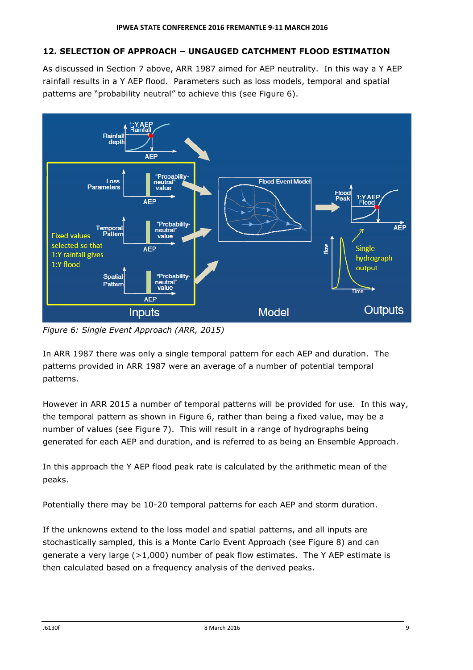# **12. SELECTION OF APPROACH – UNGAUGED CATCHMENT FLOOD ESTIMATION**

As discussed in Section 7 above, ARR 1987 aimed for AEP neutrality. In this way a Y AEP rainfall results in a Y AEP flood. Parameters such as loss models, temporal and spatial patterns are "probability neutral" to achieve this (see Figure 6).



*Figure 6: Single Event Approach (ARR, 2015)*

In ARR 1987 there was only a single temporal pattern for each AEP and duration. The patterns provided in ARR 1987 were an average of a number of potential temporal patterns.

However in ARR 2015 a number of temporal patterns will be provided for use. In this way, the temporal pattern as shown in Figure 6, rather than being a fixed value, may be a number of values (see Figure 7). This will result in a range of hydrographs being generated for each AEP and duration, and is referred to as being an Ensemble Approach.

In this approach the Y AEP flood peak rate is calculated by the arithmetic mean of the peaks.

Potentially there may be 10-20 temporal patterns for each AEP and storm duration.

If the unknowns extend to the loss model and spatial patterns, and all inputs are stochastically sampled, this is a Monte Carlo Event Approach (see Figure 8) and can generate a very large  $(>1,000)$  number of peak flow estimates. The Y AEP estimate is then calculated based on a frequency analysis of the derived peaks.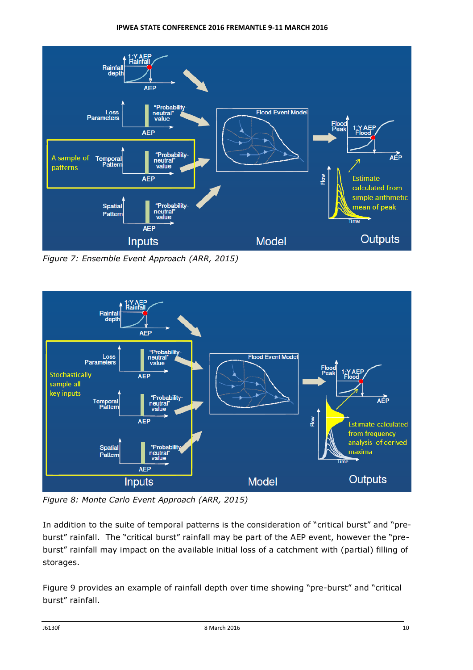#### **IPWEA STATE CONFERENCE 2016 FREMANTLE 9-11 MARCH 2016**



*Figure 7: Ensemble Event Approach (ARR, 2015)*



*Figure 8: Monte Carlo Event Approach (ARR, 2015)*

In addition to the suite of temporal patterns is the consideration of "critical burst" and "preburst" rainfall. The "critical burst" rainfall may be part of the AEP event, however the "preburst" rainfall may impact on the available initial loss of a catchment with (partial) filling of storages.

Figure 9 provides an example of rainfall depth over time showing "pre-burst" and "critical burst" rainfall.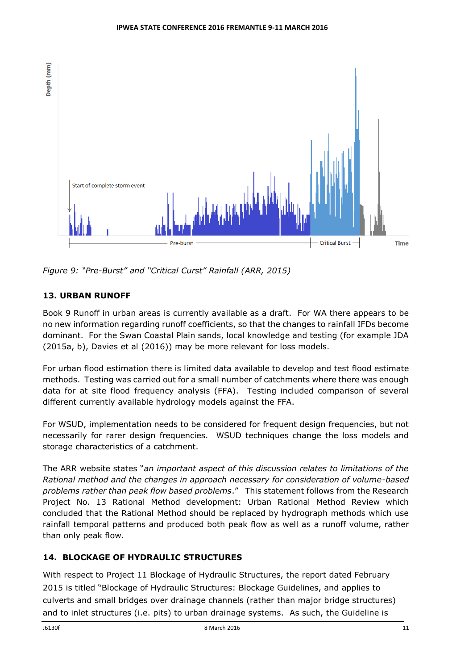

*Figure 9: "Pre-Burst" and "Critical Curst" Rainfall (ARR, 2015)*

# **13. URBAN RUNOFF**

Book 9 Runoff in urban areas is currently available as a draft. For WA there appears to be no new information regarding runoff coefficients, so that the changes to rainfall IFDs become dominant. For the Swan Coastal Plain sands, local knowledge and testing (for example JDA (2015a, b), Davies et al (2016)) may be more relevant for loss models.

For urban flood estimation there is limited data available to develop and test flood estimate methods. Testing was carried out for a small number of catchments where there was enough data for at site flood frequency analysis (FFA). Testing included comparison of several different currently available hydrology models against the FFA.

For WSUD, implementation needs to be considered for frequent design frequencies, but not necessarily for rarer design frequencies. WSUD techniques change the loss models and storage characteristics of a catchment.

The ARR website states "*an important aspect of this discussion relates to limitations of the Rational method and the changes in approach necessary for consideration of volume-based problems rather than peak flow based problems*." This statement follows from the Research Project No. 13 Rational Method development: Urban Rational Method Review which concluded that the Rational Method should be replaced by hydrograph methods which use rainfall temporal patterns and produced both peak flow as well as a runoff volume, rather than only peak flow.

# **14. BLOCKAGE OF HYDRAULIC STRUCTURES**

With respect to Project 11 Blockage of Hydraulic Structures, the report dated February 2015 is titled "Blockage of Hydraulic Structures: Blockage Guidelines, and applies to culverts and small bridges over drainage channels (rather than major bridge structures) and to inlet structures (i.e. pits) to urban drainage systems. As such, the Guideline is